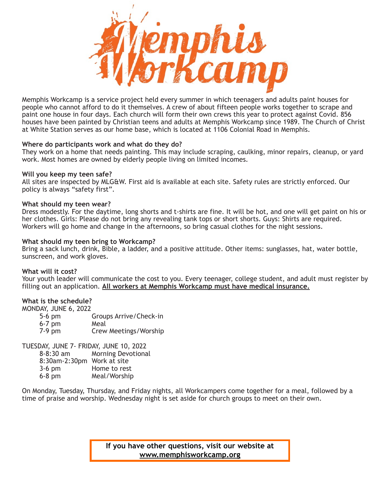

Memphis Workcamp is a service project held every summer in which teenagers and adults paint houses for people who cannot afford to do it themselves. A crew of about fifteen people works together to scrape and paint one house in four days. Each church will form their own crews this year to protect against Covid. 856 houses have been painted by Christian teens and adults at Memphis Workcamp since 1989. The Church of Christ at White Station serves as our home base, which is located at 1106 Colonial Road in Memphis.

### **Where do participants work and what do they do?**

They work on a home that needs painting. This may include scraping, caulking, minor repairs, cleanup, or yard work. Most homes are owned by elderly people living on limited incomes.

### **Will you keep my teen safe?**

All sites are inspected by MLG&W. First aid is available at each site. Safety rules are strictly enforced. Our policy is always "safety first".

### **What should my teen wear?**

Dress modestly. For the daytime, long shorts and t-shirts are fine. It will be hot, and one will get paint on his or her clothes. Girls: Please do not bring any revealing tank tops or short shorts. Guys: Shirts are required. Workers will go home and change in the afternoons, so bring casual clothes for the night sessions.

### **What should my teen bring to Workcamp?**

Bring a sack lunch, drink, Bible, a ladder, and a positive attitude. Other items: sunglasses, hat, water bottle, sunscreen, and work gloves.

### **What will it cost?**

Your youth leader will communicate the cost to you. Every teenager, college student, and adult must register by filling out an application. **All workers at Memphis Workcamp must have medical insurance.**

### **What is the schedule?**

MONDAY, JUNE 6, 2022

| $5-6$ pm | Groups Arrive/Check-in |
|----------|------------------------|
| $6-7$ pm | Meal                   |
| $7-9$ pm | Crew Meetings/Worship  |

TUESDAY, JUNE 7- FRIDAY, JUNE 10, 2022

8-8:30 am Morning Devotional

| 8:30am-2:30pm Work at site |  |
|----------------------------|--|
|                            |  |

| $3-6$ pm | Home to rest |
|----------|--------------|
| $6-8$ pm | Meal/Worship |

On Monday, Tuesday, Thursday, and Friday nights, all Workcampers come together for a meal, followed by a time of praise and worship. Wednesday night is set aside for church groups to meet on their own.

> **If you have other questions, visit our website at [www.memphisworkcamp.org](http://www.memphisworkcamp.org)**